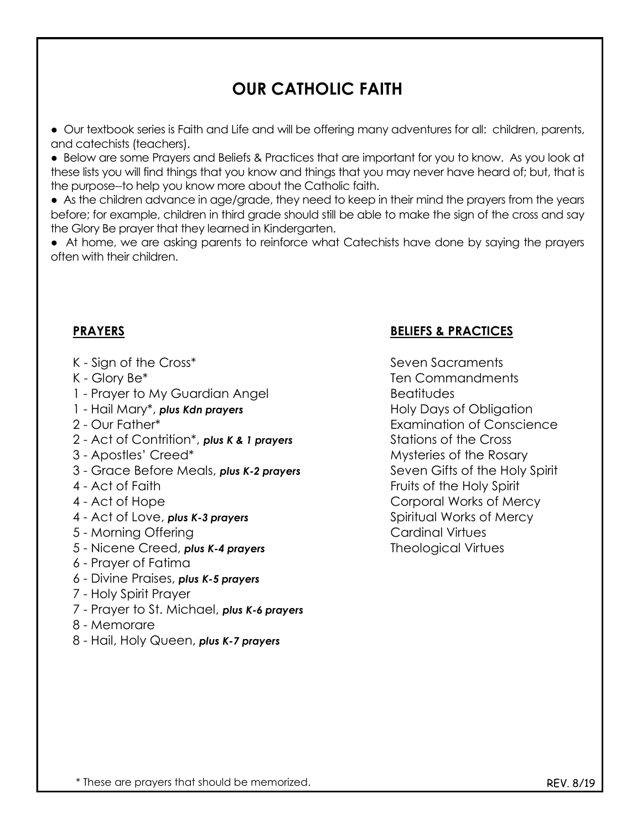# **OUR CATHOLIC FAITH**

● Our textbook series is Faith and Life and will be offering many adventures for all: children, parents, and catechists (teachers).

● Below are some Prayers and Beliefs & Practices that are important for you to know. As you look at these lists you will find things that you know and things that you may never have heard of; but, that is the purpose--to help you know more about the Catholic faith.

• As the children advance in age/grade, they need to keep in their mind the prayers from the years before; for example, children in third grade should still be able to make the sign of the cross and say the Glory Be prayer that they learned in Kindergarten.

• At home, we are asking parents to reinforce what Catechists have done by saying the prayers often with their children.

# **PRAYERS**

- K Sign of the Cross\*
- K Glory Be\*
- 1 Prayer to My Guardian Angel
- 1 Hail Mary\*, *plus Kdn prayers*
- 2 Our Father\*
- 2 Act of Contrition\*, *plus K & 1 prayers*
- 3 Apostles' Creed\*
- 3 Grace Before Meals, *plus K-2 prayers*
- 4 Act of Faith
- 4 Act of Hope
- 4 Act of Love, *plus K-3 prayers*
- 5 Morning Offering
- 5 Nicene Creed, *plus K-4 prayers*
- 6 Prayer of Fatima
- 6 Divine Praises, *plus K-5 prayers*
- 7 Holy Spirit Prayer
- 7 Prayer to St. Michael, *plus K-6 prayers*
- 8 Memorare
- 8 Hail, Holy Queen, *plus K-7 prayers*

## **BELIEFS & PRACTICES**

Seven Sacraments

- Ten Commandments
- **Beatitudes**
- Holy Days of Obligation Examination of Conscience
- Stations of the Cross
- Mysteries of the Rosary
- Seven Gifts of the Holy Spirit Fruits of the Holy Spirit Corporal Works of Mercy
- Spiritual Works of Mercy Cardinal Virtues
- Theological Virtues

\* These are prayers that should be memorized.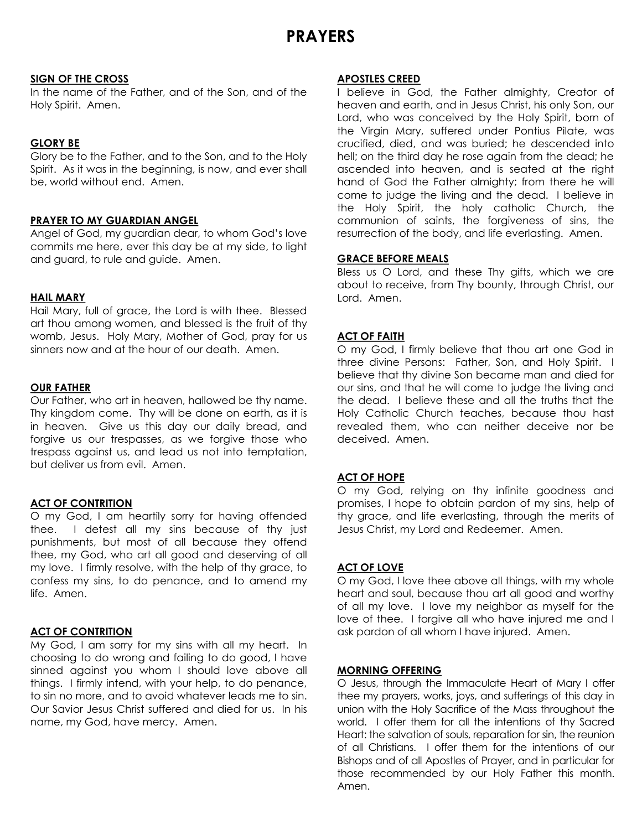## **SIGN OF THE CROSS**

In the name of the Father, and of the Son, and of the Holy Spirit. Amen.

#### **GLORY BE**

Glory be to the Father, and to the Son, and to the Holy Spirit. As it was in the beginning, is now, and ever shall be, world without end. Amen.

#### **PRAYER TO MY GUARDIAN ANGEL**

Angel of God, my guardian dear, to whom God's love commits me here, ever this day be at my side, to light and guard, to rule and guide. Amen.

#### **HAIL MARY**

Hail Mary, full of grace, the Lord is with thee. Blessed art thou among women, and blessed is the fruit of thy womb, Jesus. Holy Mary, Mother of God, pray for us sinners now and at the hour of our death. Amen.

#### **OUR FATHER**

Our Father, who art in heaven, hallowed be thy name. Thy kingdom come. Thy will be done on earth, as it is in heaven. Give us this day our daily bread, and forgive us our trespasses, as we forgive those who trespass against us, and lead us not into temptation, but deliver us from evil. Amen.

## **ACT OF CONTRITION**

O my God, I am heartily sorry for having offended thee. I detest all my sins because of thy just punishments, but most of all because they offend thee, my God, who art all good and deserving of all my love. I firmly resolve, with the help of thy grace, to confess my sins, to do penance, and to amend my life. Amen.

## **ACT OF CONTRITION**

My God, I am sorry for my sins with all my heart. In choosing to do wrong and failing to do good, I have sinned against you whom I should love above all things. I firmly intend, with your help, to do penance, to sin no more, and to avoid whatever leads me to sin. Our Savior Jesus Christ suffered and died for us. In his name, my God, have mercy. Amen.

#### **APOSTLES CREED**

I believe in God, the Father almighty, Creator of heaven and earth, and in Jesus Christ, his only Son, our Lord, who was conceived by the Holy Spirit, born of the Virgin Mary, suffered under Pontius Pilate, was crucified, died, and was buried; he descended into hell; on the third day he rose again from the dead; he ascended into heaven, and is seated at the right hand of God the Father almighty; from there he will come to judge the living and the dead. I believe in the Holy Spirit, the holy catholic Church, the communion of saints, the forgiveness of sins, the resurrection of the body, and life everlasting. Amen.

## **GRACE BEFORE MEALS**

Bless us O Lord, and these Thy gifts, which we are about to receive, from Thy bounty, through Christ, our Lord. Amen.

#### **ACT OF FAITH**

O my God, I firmly believe that thou art one God in three divine Persons: Father, Son, and Holy Spirit. I believe that thy divine Son became man and died for our sins, and that he will come to judge the living and the dead. I believe these and all the truths that the Holy Catholic Church teaches, because thou hast revealed them, who can neither deceive nor be deceived. Amen.

#### **ACT OF HOPE**

O my God, relying on thy infinite goodness and promises, I hope to obtain pardon of my sins, help of thy grace, and life everlasting, through the merits of Jesus Christ, my Lord and Redeemer. Amen.

## **ACT OF LOVE**

O my God, I love thee above all things, with my whole heart and soul, because thou art all good and worthy of all my love. I love my neighbor as myself for the love of thee. I forgive all who have injured me and I ask pardon of all whom I have injured. Amen.

#### **MORNING OFFERING**

O Jesus, through the Immaculate Heart of Mary I offer thee my prayers, works, joys, and sufferings of this day in union with the Holy Sacrifice of the Mass throughout the world. I offer them for all the intentions of thy Sacred Heart: the salvation of souls, reparation for sin, the reunion of all Christians. I offer them for the intentions of our Bishops and of all Apostles of Prayer, and in particular for those recommended by our Holy Father this month. Amen.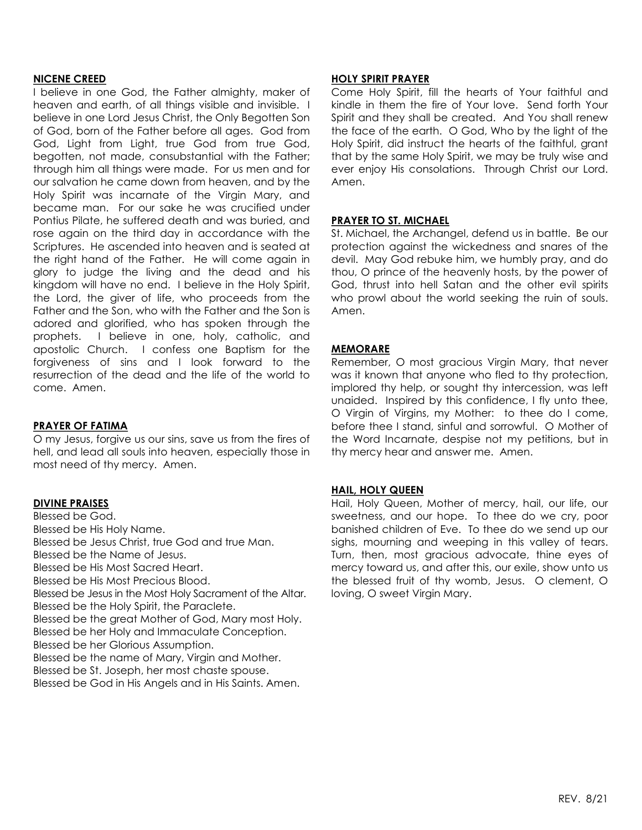#### **NICENE CREED**

I believe in one God, the Father almighty, maker of heaven and earth, of all things visible and invisible. I believe in one Lord Jesus Christ, the Only Begotten Son of God, born of the Father before all ages. God from God, Light from Light, true God from true God, begotten, not made, consubstantial with the Father; through him all things were made. For us men and for our salvation he came down from heaven, and by the Holy Spirit was incarnate of the Virgin Mary, and became man. For our sake he was crucified under Pontius Pilate, he suffered death and was buried, and rose again on the third day in accordance with the Scriptures. He ascended into heaven and is seated at the right hand of the Father. He will come again in glory to judge the living and the dead and his kingdom will have no end. I believe in the Holy Spirit, the Lord, the giver of life, who proceeds from the Father and the Son, who with the Father and the Son is adored and glorified, who has spoken through the prophets. I believe in one, holy, catholic, and apostolic Church. I confess one Baptism for the forgiveness of sins and I look forward to the resurrection of the dead and the life of the world to come. Amen.

## **PRAYER OF FATIMA**

O my Jesus, forgive us our sins, save us from the fires of hell, and lead all souls into heaven, especially those in most need of thy mercy. Amen.

## **DIVINE PRAISES**

Blessed be God. Blessed be His Holy Name. Blessed be Jesus Christ, true God and true Man. Blessed be the Name of Jesus. Blessed be His Most Sacred Heart. Blessed be His Most Precious Blood. Blessed be Jesus in the Most Holy Sacrament of the Altar. Blessed be the Holy Spirit, the Paraclete. Blessed be the great Mother of God, Mary most Holy. Blessed be her Holy and Immaculate Conception. Blessed be her Glorious Assumption. Blessed be the name of Mary, Virgin and Mother. Blessed be St. Joseph, her most chaste spouse. Blessed be God in His Angels and in His Saints. Amen.

#### **HOLY SPIRIT PRAYER**

Come Holy Spirit, fill the hearts of Your faithful and kindle in them the fire of Your love. Send forth Your Spirit and they shall be created. And You shall renew the face of the earth. O God, Who by the light of the Holy Spirit, did instruct the hearts of the faithful, grant that by the same Holy Spirit, we may be truly wise and ever enjoy His consolations. Through Christ our Lord. Amen.

#### **PRAYER TO ST. MICHAEL**

St. Michael, the Archangel, defend us in battle. Be our protection against the wickedness and snares of the devil. May God rebuke him, we humbly pray, and do thou, O prince of the heavenly hosts, by the power of God, thrust into hell Satan and the other evil spirits who prowl about the world seeking the ruin of souls. Amen.

## **MEMORARE**

Remember, O most gracious Virgin Mary, that never was it known that anyone who fled to thy protection, implored thy help, or sought thy intercession, was left unaided. Inspired by this confidence, I fly unto thee, O Virgin of Virgins, my Mother: to thee do I come, before thee I stand, sinful and sorrowful. O Mother of the Word Incarnate, despise not my petitions, but in thy mercy hear and answer me. Amen.

## **HAIL, HOLY QUEEN**

Hail, Holy Queen, Mother of mercy, hail, our life, our sweetness, and our hope. To thee do we cry, poor banished children of Eve. To thee do we send up our sighs, mourning and weeping in this valley of tears. Turn, then, most gracious advocate, thine eyes of mercy toward us, and after this, our exile, show unto us the blessed fruit of thy womb, Jesus. O clement, O loving, O sweet Virgin Mary.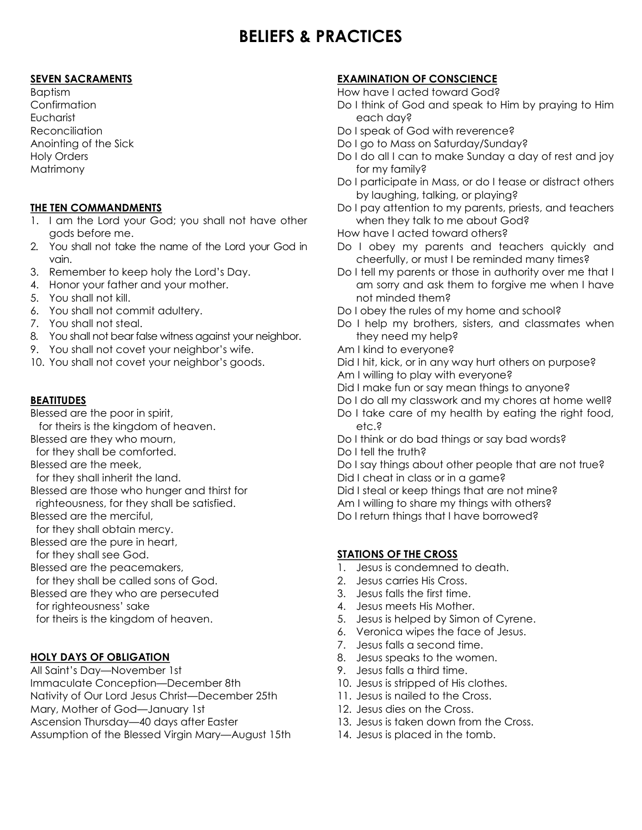# **BELIEFS & PRACTICES**

## **SEVEN SACRAMENTS**

Baptism **Confirmation Eucharist** Reconciliation Anointing of the Sick Holy Orders Matrimony

## **THE TEN COMMANDMENTS**

- 1. I am the Lord your God; you shall not have other gods before me.
- 2. You shall not take the name of the Lord your God in vain.
- 3. Remember to keep holy the Lord's Day.
- 4. Honor your father and your mother.
- 5. You shall not kill.
- 6. You shall not commit adultery.
- 7. You shall not steal.
- 8. You shall not bear false witness against your neighbor.
- 9. You shall not covet your neighbor's wife.
- 10. You shall not covet your neighbor's goods.

## **BEATITUDES**

- Blessed are the poor in spirit, for theirs is the kingdom of heaven.
- Blessed are they who mourn,
- for they shall be comforted.

Blessed are the meek,

- for they shall inherit the land.
- Blessed are those who hunger and thirst for righteousness, for they shall be satisfied.
- Blessed are the merciful,
- for they shall obtain mercy.
- Blessed are the pure in heart,
- for they shall see God.
- Blessed are the peacemakers,
- for they shall be called sons of God.
- Blessed are they who are persecuted
- for righteousness' sake
- for theirs is the kingdom of heaven.

## **HOLY DAYS OF OBLIGATION**

All Saint's Day—November 1st Immaculate Conception—December 8th Nativity of Our Lord Jesus Christ—December 25th Mary, Mother of God—January 1st Ascension Thursday—40 days after Easter Assumption of the Blessed Virgin Mary—August 15th

## **EXAMINATION OF CONSCIENCE**

How have I acted toward God?

- Do I think of God and speak to Him by praying to Him each day?
- Do I speak of God with reverence?
- Do I go to Mass on Saturday/Sunday?
- Do I do all I can to make Sunday a day of rest and joy for my family?
- Do I participate in Mass, or do I tease or distract others by laughing, talking, or playing?
- Do I pay attention to my parents, priests, and teachers when they talk to me about God?
- How have I acted toward others?
- Do I obey my parents and teachers quickly and cheerfully, or must I be reminded many times?
- Do I tell my parents or those in authority over me that I am sorry and ask them to forgive me when I have not minded them?
- Do I obey the rules of my home and school?
- Do I help my brothers, sisters, and classmates when they need my help?
- Am I kind to everyone?
- Did I hit, kick, or in any way hurt others on purpose?
- Am I willing to play with everyone?
- Did I make fun or say mean things to anyone?
- Do I do all my classwork and my chores at home well?
- Do I take care of my health by eating the right food, etc.?
- Do I think or do bad things or say bad words?
- Do I tell the truth?
- Do I say things about other people that are not true?
- Did I cheat in class or in a game?
- Did I steal or keep things that are not mine?
- Am I willing to share my things with others?
- Do I return things that I have borrowed?

# **STATIONS OF THE CROSS**

- 1. Jesus is condemned to death.
- 2. Jesus carries His Cross.
- 3. Jesus falls the first time.
- 4. Jesus meets His Mother.
- 5. Jesus is helped by Simon of Cyrene.
- 6. Veronica wipes the face of Jesus.
- 7. Jesus falls a second time.
- 8. Jesus speaks to the women.
- 9. Jesus falls a third time.
- 10. Jesus is stripped of His clothes.
- 11. Jesus is nailed to the Cross.
- 12. Jesus dies on the Cross.
- 13. Jesus is taken down from the Cross.
- 14. Jesus is placed in the tomb.